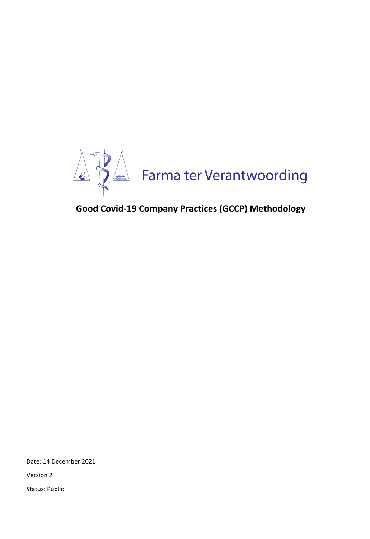

# **Good Covid-19 Company Practices (GCCP) Methodology**

Date: 14 December 2021

Version 2

Status: Public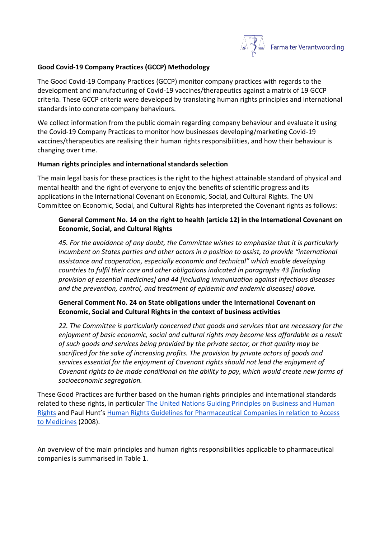

### **Good Covid-19 Company Practices (GCCP) Methodology**

The Good Covid-19 Company Practices (GCCP) monitor company practices with regards to the development and manufacturing of Covid-19 vaccines/therapeutics against a matrix of 19 GCCP criteria. These GCCP criteria were developed by translating human rights principles and international standards into concrete company behaviours.

We collect information from the public domain regarding company behaviour and evaluate it using the Covid-19 Company Practices to monitor how businesses developing/marketing Covid-19 vaccines/therapeutics are realising their human rights responsibilities, and how their behaviour is changing over time.

#### **Human rights principles and international standards selection**

The main legal basis for these practices is the right to the highest attainable standard of physical and mental health and the right of everyone to enjoy the benefits of scientific progress and its applications in the International Covenant on Economic, Social, and Cultural Rights. The UN Committee on Economic, Social, and Cultural Rights has interpreted the Covenant rights as follows:

## **General Comment No. 14 on the right to health (article 12) in the International Covenant on Economic, Social, and Cultural Rights**

*45. For the avoidance of any doubt, the Committee wishes to emphasize that it is particularly incumbent on States parties and other actors in a position to assist, to provide "international assistance and cooperation, especially economic and technical" which enable developing countries to fulfil their core and other obligations indicated in paragraphs 43 [including provision of essential medicines] and 44 [including immunization against infectious diseases and the prevention, control, and treatment of epidemic and endemic diseases] above.*

## **General Comment No. 24 on State obligations under the International Covenant on Economic, Social and Cultural Rights in the context of business activities**

*22. The Committee is particularly concerned that goods and services that are necessary for the enjoyment of basic economic, social and cultural rights may become less affordable as a result of such goods and services being provided by the private sector, or that quality may be sacrificed for the sake of increasing profits. The provision by private actors of goods and services essential for the enjoyment of Covenant rights should not lead the enjoyment of Covenant rights to be made conditional on the ability to pay, which would create new forms of socioeconomic segregation.*

These Good Practices are further based on the human rights principles and international standards related to these rights, in particular [The United Nations Guiding Principles on Business and Human](https://www.ohchr.org/documents/publications/guidingprinciplesbusinesshr_en.pdf)  [Rights](https://www.ohchr.org/documents/publications/guidingprinciplesbusinesshr_en.pdf) and Paul Hunt's [Human Rights Guidelines for Pharmaceutical Companies in relation to Access](https://www.who.int/medicines/areas/human_rights/A63_263.pdf)  [to Medicines](https://www.who.int/medicines/areas/human_rights/A63_263.pdf) (2008).

An overview of the main principles and human rights responsibilities applicable to pharmaceutical companies is summarised in Table 1.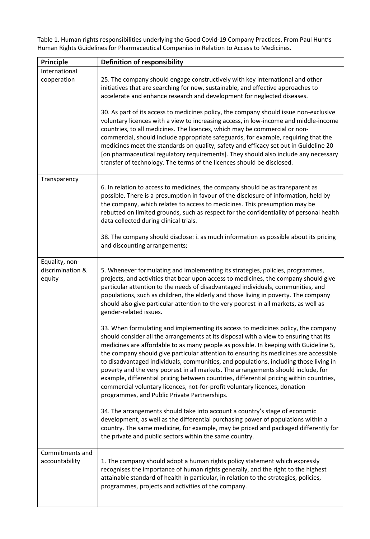Table 1. Human rights responsibilities underlying the Good Covid-19 Company Practices. From Paul Hunt's Human Rights Guidelines for Pharmaceutical Companies in Relation to Access to Medicines.

| Principle                                    | <b>Definition of responsibility</b>                                                                                                                                                                                                                                                                                                                                                                                                                                                                                                                                                                                                                                                                                                                                |
|----------------------------------------------|--------------------------------------------------------------------------------------------------------------------------------------------------------------------------------------------------------------------------------------------------------------------------------------------------------------------------------------------------------------------------------------------------------------------------------------------------------------------------------------------------------------------------------------------------------------------------------------------------------------------------------------------------------------------------------------------------------------------------------------------------------------------|
| International<br>cooperation                 | 25. The company should engage constructively with key international and other<br>initiatives that are searching for new, sustainable, and effective approaches to<br>accelerate and enhance research and development for neglected diseases.                                                                                                                                                                                                                                                                                                                                                                                                                                                                                                                       |
|                                              | 30. As part of its access to medicines policy, the company should issue non-exclusive<br>voluntary licences with a view to increasing access, in low-income and middle-income<br>countries, to all medicines. The licences, which may be commercial or non-<br>commercial, should include appropriate safeguards, for example, requiring that the<br>medicines meet the standards on quality, safety and efficacy set out in Guideline 20<br>[on pharmaceutical regulatory requirements]. They should also include any necessary<br>transfer of technology. The terms of the licences should be disclosed.                                                                                                                                                         |
| Transparency                                 | 6. In relation to access to medicines, the company should be as transparent as<br>possible. There is a presumption in favour of the disclosure of information, held by<br>the company, which relates to access to medicines. This presumption may be<br>rebutted on limited grounds, such as respect for the confidentiality of personal health<br>data collected during clinical trials.                                                                                                                                                                                                                                                                                                                                                                          |
|                                              | 38. The company should disclose: i. as much information as possible about its pricing<br>and discounting arrangements;                                                                                                                                                                                                                                                                                                                                                                                                                                                                                                                                                                                                                                             |
| Equality, non-<br>discrimination &<br>equity | 5. Whenever formulating and implementing its strategies, policies, programmes,<br>projects, and activities that bear upon access to medicines, the company should give<br>particular attention to the needs of disadvantaged individuals, communities, and<br>populations, such as children, the elderly and those living in poverty. The company<br>should also give particular attention to the very poorest in all markets, as well as<br>gender-related issues.                                                                                                                                                                                                                                                                                                |
|                                              | 33. When formulating and implementing its access to medicines policy, the company<br>should consider all the arrangements at its disposal with a view to ensuring that its<br>medicines are affordable to as many people as possible. In keeping with Guideline 5,<br>the company should give particular attention to ensuring its medicines are accessible<br>to disadvantaged individuals, communities, and populations, including those living in<br>poverty and the very poorest in all markets. The arrangements should include, for<br>example, differential pricing between countries, differential pricing within countries,<br>commercial voluntary licences, not-for-profit voluntary licences, donation<br>programmes, and Public Private Partnerships. |
|                                              | 34. The arrangements should take into account a country's stage of economic<br>development, as well as the differential purchasing power of populations within a<br>country. The same medicine, for example, may be priced and packaged differently for<br>the private and public sectors within the same country.                                                                                                                                                                                                                                                                                                                                                                                                                                                 |
| Commitments and<br>accountability            | 1. The company should adopt a human rights policy statement which expressly<br>recognises the importance of human rights generally, and the right to the highest<br>attainable standard of health in particular, in relation to the strategies, policies,<br>programmes, projects and activities of the company.                                                                                                                                                                                                                                                                                                                                                                                                                                                   |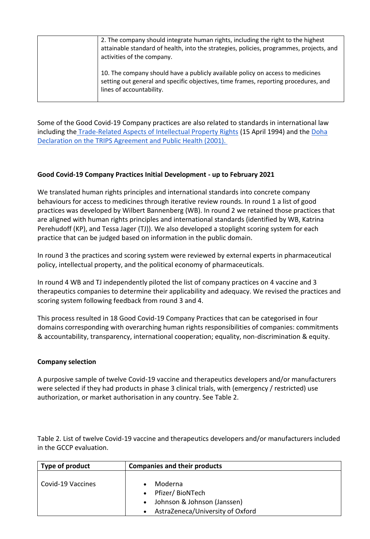| 2. The company should integrate human rights, including the right to the highest<br>attainable standard of health, into the strategies, policies, programmes, projects, and<br>activities of the company. |
|-----------------------------------------------------------------------------------------------------------------------------------------------------------------------------------------------------------|
| 10. The company should have a publicly available policy on access to medicines<br>setting out general and specific objectives, time frames, reporting procedures, and<br>lines of accountability.         |

Some of the Good Covid-19 Company practices are also related to standards in international law including the [Trade-Related Aspects of Intellectual Property Rights](https://www.wto.org/english/tratop_e/trips_e/intel2_e.htm) (15 April 1994) and the [Doha](https://www.wto.org/english/thewto_e/minist_e/min01_e/mindecl_trips_e.htm)  [Declaration on the TRIPS Agreement and Public Health \(2001\).](https://www.wto.org/english/thewto_e/minist_e/min01_e/mindecl_trips_e.htm)

## **Good Covid-19 Company Practices Initial Development - up to February 2021**

We translated human rights principles and international standards into concrete company behaviours for access to medicines through iterative review rounds. In round 1 a list of good practices was developed by Wilbert Bannenberg (WB). In round 2 we retained those practices that are aligned with human rights principles and international standards (identified by WB, Katrina Perehudoff (KP), and Tessa Jager (TJ)). We also developed a stoplight scoring system for each practice that can be judged based on information in the public domain.

In round 3 the practices and scoring system were reviewed by external experts in pharmaceutical policy, intellectual property, and the political economy of pharmaceuticals.

In round 4 WB and TJ independently piloted the list of company practices on 4 vaccine and 3 therapeutics companies to determine their applicability and adequacy. We revised the practices and scoring system following feedback from round 3 and 4.

This process resulted in 18 Good Covid-19 Company Practices that can be categorised in four domains corresponding with overarching human rights responsibilities of companies: commitments & accountability, transparency, international cooperation; equality, non-discrimination & equity.

### **Company selection**

A purposive sample of twelve Covid-19 vaccine and therapeutics developers and/or manufacturers were selected if they had products in phase 3 clinical trials, with (emergency / restricted) use authorization, or market authorisation in any country. See Table 2.

Table 2. List of twelve Covid-19 vaccine and therapeutics developers and/or manufacturers included in the GCCP evaluation.

| Type of product   | <b>Companies and their products</b>                                                                                                  |
|-------------------|--------------------------------------------------------------------------------------------------------------------------------------|
| Covid-19 Vaccines | Moderna<br>Pfizer/BioNTech<br>$\bullet$<br>Johnson & Johnson (Janssen)<br>$\bullet$<br>AstraZeneca/University of Oxford<br>$\bullet$ |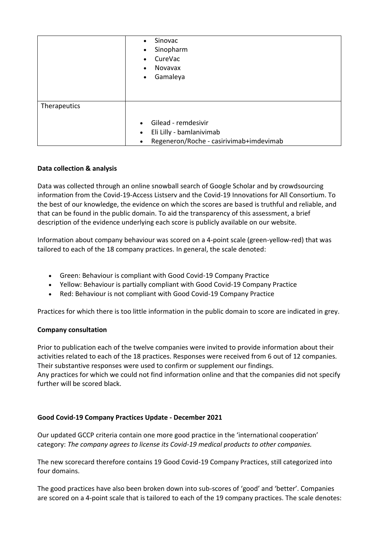|              | Sinovac<br>$\bullet$<br>Sinopharm<br>$\bullet$<br>CureVac<br>$\bullet$<br>Novavax<br>$\bullet$<br>Gamaleya<br>$\bullet$ |
|--------------|-------------------------------------------------------------------------------------------------------------------------|
| Therapeutics | Gilead - remdesivir<br>Eli Lilly - bamlanivimab<br>$\bullet$<br>Regeneron/Roche - casirivimab+imdevimab                 |

## **Data collection & analysis**

Data was collected through an online snowball search of Google Scholar and by crowdsourcing information from the Covid-19-Access Listserv and the Covid-19 Innovations for All Consortium. To the best of our knowledge, the evidence on which the scores are based is truthful and reliable, and that can be found in the public domain. To aid the transparency of this assessment, a brief description of the evidence underlying each score is publicly available on our website.

Information about company behaviour was scored on a 4-point scale (green-yellow-red) that was tailored to each of the 18 company practices. In general, the scale denoted:

- Green: Behaviour is compliant with Good Covid-19 Company Practice
- Yellow: Behaviour is partially compliant with Good Covid-19 Company Practice
- Red: Behaviour is not compliant with Good Covid-19 Company Practice

Practices for which there is too little information in the public domain to score are indicated in grey.

### **Company consultation**

Prior to publication each of the twelve companies were invited to provide information about their activities related to each of the 18 practices. Responses were received from 6 out of 12 companies. Their substantive responses were used to confirm or supplement our findings. Any practices for which we could not find information online and that the companies did not specify further will be scored black.

### **Good Covid-19 Company Practices Update - December 2021**

Our updated GCCP criteria contain one more good practice in the 'international cooperation' category: *The company agrees to license its Covid-19 medical products to other companies.*

The new scorecard therefore contains 19 Good Covid-19 Company Practices, still categorized into four domains.

The good practices have also been broken down into sub-scores of 'good' and 'better'. Companies are scored on a 4-point scale that is tailored to each of the 19 company practices. The scale denotes: